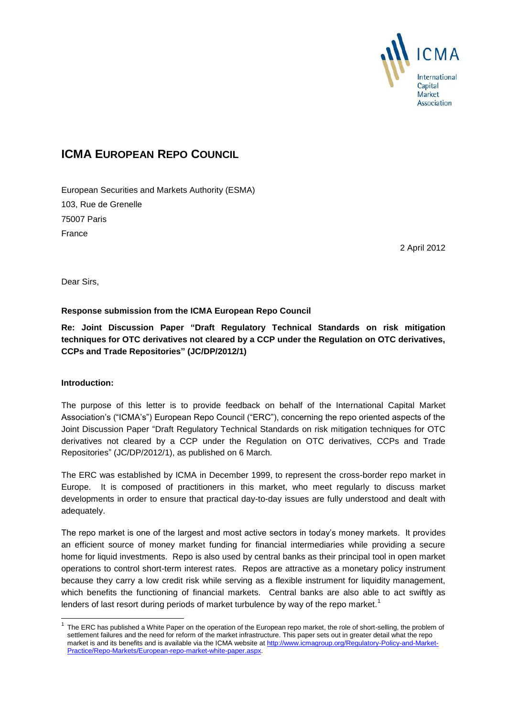

# **ICMA EUROPEAN REPO COUNCIL**

European Securities and Markets Authority (ESMA) 103, Rue de Grenelle 75007 Paris France

2 April 2012

Dear Sirs,

## **Response submission from the ICMA European Repo Council**

**Re: Joint Discussion Paper "Draft Regulatory Technical Standards on risk mitigation techniques for OTC derivatives not cleared by a CCP under the Regulation on OTC derivatives, CCPs and Trade Repositories" (JC/DP/2012/1)**

## **Introduction:**

-

The purpose of this letter is to provide feedback on behalf of the International Capital Market Association's ("ICMA's") European Repo Council ("ERC"), concerning the repo oriented aspects of the Joint Discussion Paper "Draft Regulatory Technical Standards on risk mitigation techniques for OTC derivatives not cleared by a CCP under the Regulation on OTC derivatives, CCPs and Trade Repositories" (JC/DP/2012/1), as published on 6 March.

The ERC was established by ICMA in December 1999, to represent the cross-border repo market in Europe. It is composed of practitioners in this market, who meet regularly to discuss market developments in order to ensure that practical day-to-day issues are fully understood and dealt with adequately.

The repo market is one of the largest and most active sectors in today's money markets. It provides an efficient source of money market funding for financial intermediaries while providing a secure home for liquid investments. Repo is also used by central banks as their principal tool in open market operations to control short-term interest rates. Repos are attractive as a monetary policy instrument because they carry a low credit risk while serving as a flexible instrument for liquidity management, which benefits the functioning of financial markets. Central banks are also able to act swiftly as lenders of last resort during periods of market turbulence by way of the repo market.<sup>1</sup>

<sup>1</sup> The ERC has published a White Paper on the operation of the European repo market, the role of short-selling, the problem of settlement failures and the need for reform of the market infrastructure. This paper sets out in greater detail what the repo market is and its benefits and is available via the ICMA website a[t http://www.icmagroup.org/Regulatory-Policy-and-Market-](http://www.icmagroup.org/Regulatory-Policy-and-Market-Practice/Repo-Markets/European-repo-market-white-paper.aspx)[Practice/Repo-Markets/European-repo-market-white-paper.aspx.](http://www.icmagroup.org/Regulatory-Policy-and-Market-Practice/Repo-Markets/European-repo-market-white-paper.aspx)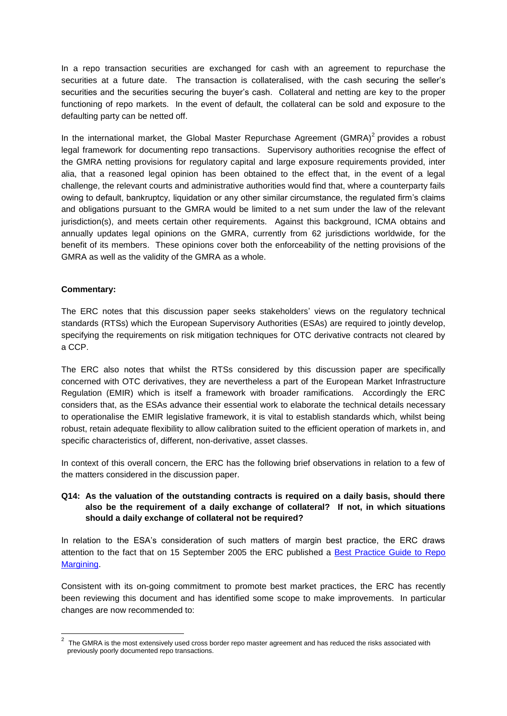In a repo transaction securities are exchanged for cash with an agreement to repurchase the securities at a future date. The transaction is collateralised, with the cash securing the seller's securities and the securities securing the buyer's cash. Collateral and netting are key to the proper functioning of repo markets. In the event of default, the collateral can be sold and exposure to the defaulting party can be netted off.

In the international market, the Global Master Repurchase Agreement (GMRA) $2$  provides a robust legal framework for documenting repo transactions. Supervisory authorities recognise the effect of the GMRA netting provisions for regulatory capital and large exposure requirements provided, inter alia, that a reasoned legal opinion has been obtained to the effect that, in the event of a legal challenge, the relevant courts and administrative authorities would find that, where a counterparty fails owing to default, bankruptcy, liquidation or any other similar circumstance, the regulated firm's claims and obligations pursuant to the GMRA would be limited to a net sum under the law of the relevant jurisdiction(s), and meets certain other requirements. Against this background, ICMA obtains and annually updates legal opinions on the GMRA, currently from 62 jurisdictions worldwide, for the benefit of its members. These opinions cover both the enforceability of the netting provisions of the GMRA as well as the validity of the GMRA as a whole.

#### **Commentary:**

The ERC notes that this discussion paper seeks stakeholders' views on the regulatory technical standards (RTSs) which the European Supervisory Authorities (ESAs) are required to jointly develop, specifying the requirements on risk mitigation techniques for OTC derivative contracts not cleared by a CCP.

The ERC also notes that whilst the RTSs considered by this discussion paper are specifically concerned with OTC derivatives, they are nevertheless a part of the European Market Infrastructure Regulation (EMIR) which is itself a framework with broader ramifications. Accordingly the ERC considers that, as the ESAs advance their essential work to elaborate the technical details necessary to operationalise the EMIR legislative framework, it is vital to establish standards which, whilst being robust, retain adequate flexibility to allow calibration suited to the efficient operation of markets in, and specific characteristics of, different, non-derivative, asset classes.

In context of this overall concern, the ERC has the following brief observations in relation to a few of the matters considered in the discussion paper.

#### **Q14: As the valuation of the outstanding contracts is required on a daily basis, should there also be the requirement of a daily exchange of collateral? If not, in which situations should a daily exchange of collateral not be required?**

In relation to the ESA's consideration of such matters of margin best practice, the ERC draws attention to the fact that on 15 September 2005 the ERC published a [Best Practice Guide to Repo](http://www.icmagroup.org/assets/documents/Recomm-BestPracticeGuide%20August%2023%202001(final%20version).pdf)  [Margining.](http://www.icmagroup.org/assets/documents/Recomm-BestPracticeGuide%20August%2023%202001(final%20version).pdf)

Consistent with its on-going commitment to promote best market practices, the ERC has recently been reviewing this document and has identified some scope to make improvements. In particular changes are now recommended to:

 2 The GMRA is the most extensively used cross border repo master agreement and has reduced the risks associated with previously poorly documented repo transactions.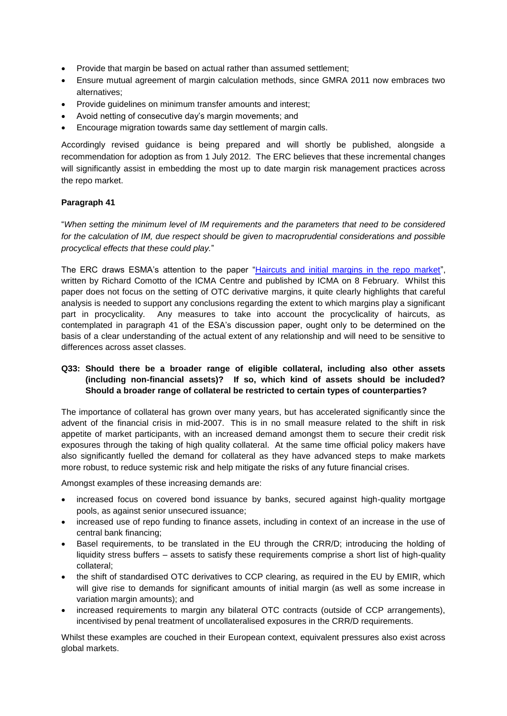- Provide that margin be based on actual rather than assumed settlement;
- Ensure mutual agreement of margin calculation methods, since GMRA 2011 now embraces two alternatives;
- Provide quidelines on minimum transfer amounts and interest;
- Avoid netting of consecutive day's margin movements; and
- Encourage migration towards same day settlement of margin calls.

Accordingly revised guidance is being prepared and will shortly be published, alongside a recommendation for adoption as from 1 July 2012. The ERC believes that these incremental changes will significantly assist in embedding the most up to date margin risk management practices across the repo market.

#### **Paragraph 41**

"*When setting the minimum level of IM requirements and the parameters that need to be considered for the calculation of IM, due respect should be given to macroprudential considerations and possible procyclical effects that these could play.*"

The ERC draws ESMA's attention to the paper ["Haircuts and initial margins in the repo market"](http://www.icmagroup.org/assets/documents/Maket-Practice/Regulatory-Policy/Repo-Markets/Haircuts%20and%20initial%20margins%20in%20the%20repo%20market_8%20Feb%202012.pdf), written by Richard Comotto of the ICMA Centre and published by ICMA on 8 February. Whilst this paper does not focus on the setting of OTC derivative margins, it quite clearly highlights that careful analysis is needed to support any conclusions regarding the extent to which margins play a significant part in procyclicality. Any measures to take into account the procyclicality of haircuts, as contemplated in paragraph 41 of the ESA's discussion paper, ought only to be determined on the basis of a clear understanding of the actual extent of any relationship and will need to be sensitive to differences across asset classes.

### **Q33: Should there be a broader range of eligible collateral, including also other assets (including non-financial assets)? If so, which kind of assets should be included? Should a broader range of collateral be restricted to certain types of counterparties?**

The importance of collateral has grown over many years, but has accelerated significantly since the advent of the financial crisis in mid-2007. This is in no small measure related to the shift in risk appetite of market participants, with an increased demand amongst them to secure their credit risk exposures through the taking of high quality collateral. At the same time official policy makers have also significantly fuelled the demand for collateral as they have advanced steps to make markets more robust, to reduce systemic risk and help mitigate the risks of any future financial crises.

Amongst examples of these increasing demands are:

- increased focus on covered bond issuance by banks, secured against high-quality mortgage pools, as against senior unsecured issuance;
- increased use of repo funding to finance assets, including in context of an increase in the use of central bank financing;
- Basel requirements, to be translated in the EU through the CRR/D; introducing the holding of liquidity stress buffers – assets to satisfy these requirements comprise a short list of high-quality collateral;
- the shift of standardised OTC derivatives to CCP clearing, as required in the EU by EMIR, which will give rise to demands for significant amounts of initial margin (as well as some increase in variation margin amounts); and
- increased requirements to margin any bilateral OTC contracts (outside of CCP arrangements), incentivised by penal treatment of uncollateralised exposures in the CRR/D requirements.

Whilst these examples are couched in their European context, equivalent pressures also exist across global markets.